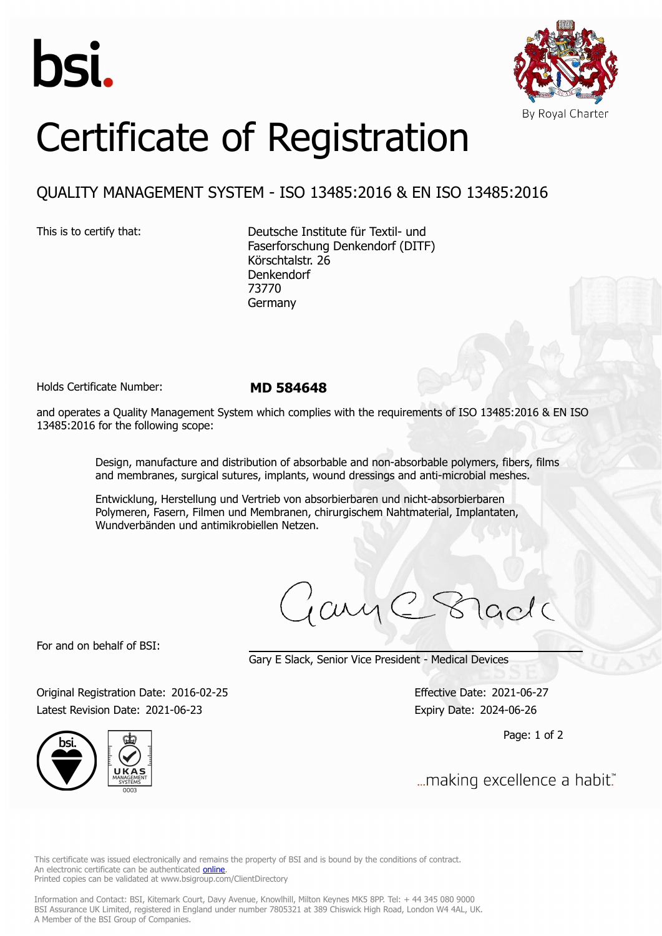



## Certificate of Registration

## QUALITY MANAGEMENT SYSTEM - ISO 13485:2016 & EN ISO 13485:2016

This is to certify that: Deutsche Institute für Textil- und Faserforschung Denkendorf (DITF) Körschtalstr. 26 Denkendorf 73770 Germany

Holds Certificate Number: **MD 584648**

and operates a Quality Management System which complies with the requirements of ISO 13485:2016 & EN ISO 13485:2016 for the following scope:

> Design, manufacture and distribution of absorbable and non-absorbable polymers, fibers, films and membranes, surgical sutures, implants, wound dressings and anti-microbial meshes.

Entwicklung, Herstellung und Vertrieb von absorbierbaren und nicht-absorbierbaren Polymeren, Fasern, Filmen und Membranen, chirurgischem Nahtmaterial, Implantaten, Wundverbänden und antimikrobiellen Netzen.

ary C Stade

For and on behalf of BSI:

Gary E Slack, Senior Vice President - Medical Devices

Original Registration Date: 2016-02-25 Effective Date: 2021-06-27 Latest Revision Date: 2021-06-23 Expiry Date: 2024-06-26

Page: 1 of 2

... making excellence a habit."

This certificate was issued electronically and remains the property of BSI and is bound by the conditions of contract. An electronic certificate can be authenticated **[online](https://pgplus.bsigroup.com/CertificateValidation/CertificateValidator.aspx?CertificateNumber=MD+584648&ReIssueDate=23%2f06%2f2021&Template=uk)**. Printed copies can be validated at www.bsigroup.com/ClientDirectory

Information and Contact: BSI, Kitemark Court, Davy Avenue, Knowlhill, Milton Keynes MK5 8PP. Tel: + 44 345 080 9000 BSI Assurance UK Limited, registered in England under number 7805321 at 389 Chiswick High Road, London W4 4AL, UK. A Member of the BSI Group of Companies.